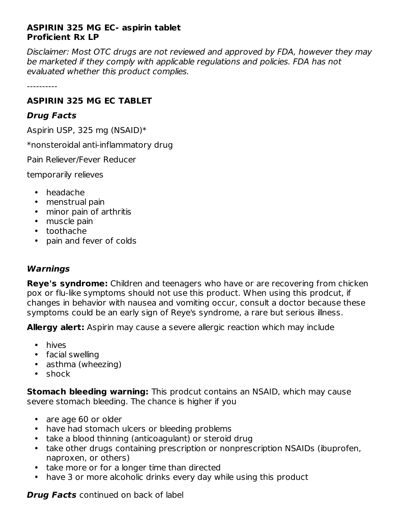## **ASPIRIN 325 MG EC- aspirin tablet Proficient Rx LP**

Disclaimer: Most OTC drugs are not reviewed and approved by FDA, however they may be marketed if they comply with applicable regulations and policies. FDA has not evaluated whether this product complies.

----------

# **ASPIRIN 325 MG EC TABLET**

# **Drug Facts**

Aspirin USP, 325 mg (NSAID)\*

\*nonsteroidal anti-inflammatory drug

Pain Reliever/Fever Reducer

temporarily relieves

- headache
- menstrual pain
- minor pain of arthritis
- muscle pain
- toothache
- pain and fever of colds

# **Warnings**

**Reye's syndrome:** Children and teenagers who have or are recovering from chicken pox or flu-like symptoms should not use this product. When using this prodcut, if changes in behavior with nausea and vomiting occur, consult a doctor because these symptoms could be an early sign of Reye's syndrome, a rare but serious illness.

**Allergy alert:** Aspirin may cause a severe allergic reaction which may include

- hives
- facial swelling
- asthma (wheezing)
- shock

**Stomach bleeding warning:** This prodcut contains an NSAID, which may cause severe stomach bleeding. The chance is higher if you

- are age 60 or older
- have had stomach ulcers or bleeding problems
- take a blood thinning (anticoagulant) or steroid drug
- take other drugs containing prescription or nonprescription NSAIDs (ibuprofen, naproxen, or others)
- take more or for a longer time than directed
- have 3 or more alcoholic drinks every day while using this product

**Drug Facts** continued on back of label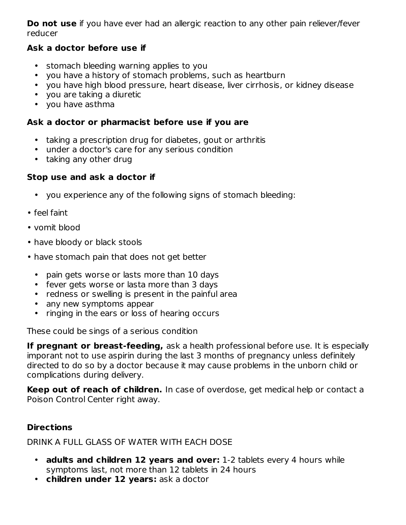**Do not use** if you have ever had an allergic reaction to any other pain reliever/fever reducer

# **Ask a doctor before use if**

- stomach bleeding warning applies to you
- $\bullet$ you have a history of stomach problems, such as heartburn
- you have high blood pressure, heart disease, liver cirrhosis, or kidney disease
- you are taking a diuretic
- you have asthma

# **Ask a doctor or pharmacist before use if you are**

- taking a prescription drug for diabetes, gout or arthritis
- under a doctor's care for any serious condition
- taking any other drug

# **Stop use and ask a doctor if**

- you experience any of the following signs of stomach bleeding:
- feel faint
- vomit blood
- have bloody or black stools
- have stomach pain that does not get better
	- pain gets worse or lasts more than 10 days
	- fever gets worse or lasta more than 3 days
	- redness or swelling is present in the painful area
	- any new symptoms appear
	- ringing in the ears or loss of hearing occurs

These could be sings of a serious condition

**If pregnant or breast-feeding,** ask a health professional before use. It is especially imporant not to use aspirin during the last 3 months of pregnancy unless definitely directed to do so by a doctor because it may cause problems in the unborn child or complications during delivery.

**Keep out of reach of children.** In case of overdose, get medical help or contact a Poison Control Center right away.

# **Directions**

# DRINK A FULL GLASS OF WATER WITH EACH DOSE

- **adults and children 12 years and over:** 1-2 tablets every 4 hours while symptoms last, not more than 12 tablets in 24 hours
- **children under 12 years:** ask a doctor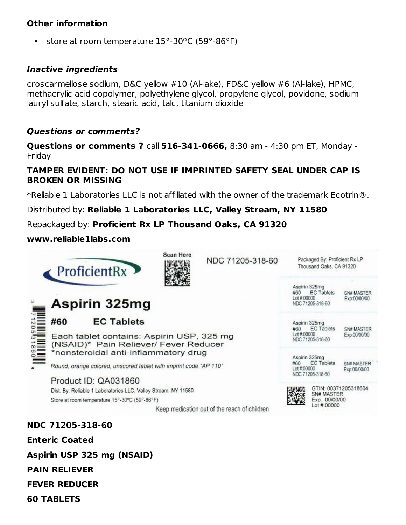## **Other information**

• store at room temperature 15°-30ºC (59°-86°F)

### **Inactive ingredients**

croscarmellose sodium, D&C yellow #10 (Al-lake), FD&C yellow #6 (Al-lake), HPMC, methacrylic acid copolymer, polyethylene glycol, propylene glycol, povidone, sodium lauryl sulfate, starch, stearic acid, talc, titanium dioxide

### **Questions or comments?**

**Questions or comments ?** call **516-341-0666,** 8:30 am - 4:30 pm ET, Monday - Friday

### **TAMPER EVIDENT: DO NOT USE IF IMPRINTED SAFETY SEAL UNDER CAP IS BROKEN OR MISSING**

\*Reliable 1 Laboratories LLC is not affiliated with the owner of the trademark Ecotrin®.

Distributed by: **Reliable 1 Laboratories LLC, Valley Stream, NY 11580**

Repackaged by: **Proficient Rx LP Thousand Oaks, CA 91320**

### **www.reliable1labs.com**

|  | ProficientRx                                                                                                               |                                                                                                                                                                 | <b>Scan Here</b>                           | NDC 71205-318-60 |            | Packaged By: Proficient Rx LP<br>Thousand Oaks, CA 91320                                   |  |  |
|--|----------------------------------------------------------------------------------------------------------------------------|-----------------------------------------------------------------------------------------------------------------------------------------------------------------|--------------------------------------------|------------------|------------|--------------------------------------------------------------------------------------------|--|--|
|  | Aspirin 325mg                                                                                                              |                                                                                                                                                                 |                                            |                  |            | Aspirin 325mg<br><b>EC Tablets</b><br>#60<br>Lot #:00000<br>NDC 71205-318-60               |  |  |
|  | #60                                                                                                                        | <b>EC Tablets</b>                                                                                                                                               | Aspirin 325mg<br><b>EC Tablets</b><br>#60  |                  | SN# MASTER |                                                                                            |  |  |
|  | Each tablet contains: Aspirin USP, 325 mg<br>(NSAID)* Pain Reliever/ Fever Reducer<br>*nonsteroidal anti-inflammatory drug |                                                                                                                                                                 |                                            |                  |            | Lot #:00000<br>Exp:00/00/00<br>NDC 71205-318-60<br>Aspirin 325mg                           |  |  |
|  | Round, orange colored, unscored tablet with imprint code "AP 110"                                                          |                                                                                                                                                                 |                                            |                  |            | <b>EC Tablets</b><br>#60<br>SN# MASTER<br>Let #:00000.<br>Exp:00/00/00<br>NDC 71205-318-60 |  |  |
|  |                                                                                                                            | Product ID: QA031860                                                                                                                                            | GTIN: 00371205318604                       |                  |            |                                                                                            |  |  |
|  |                                                                                                                            | Dist. By: Reliable 1 Laboratories LLC, Valley Stream, NY 11580<br>Store at room temperature 15°-30°C (59°-86°F)<br>Keep medication out of the reach of children | SN# MASTER<br>Exp. 00/00/00<br>Lot #:00000 |                  |            |                                                                                            |  |  |
|  | NDC 71205-318-60                                                                                                           |                                                                                                                                                                 |                                            |                  |            |                                                                                            |  |  |
|  | <b>Enteric Coated</b>                                                                                                      |                                                                                                                                                                 |                                            |                  |            |                                                                                            |  |  |

**Aspirin USP 325 mg (NSAID)**

**PAIN RELIEVER**

**FEVER REDUCER**

**60 TABLETS**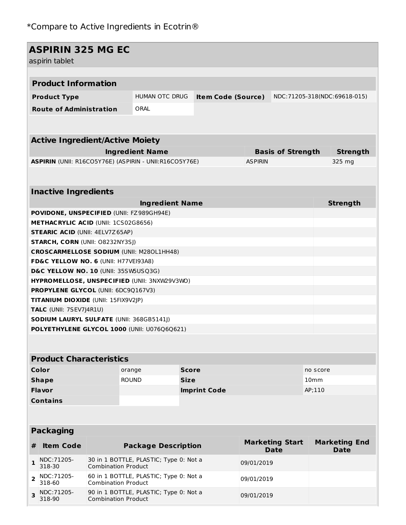318-90

Combination Product

| <b>ASPIRIN 325 MG EC</b><br>aspirin tablet                                           |                                                                                               |                                                                      |                                                        |                                             |  |                |                                       |          |                                     |  |
|--------------------------------------------------------------------------------------|-----------------------------------------------------------------------------------------------|----------------------------------------------------------------------|--------------------------------------------------------|---------------------------------------------|--|----------------|---------------------------------------|----------|-------------------------------------|--|
|                                                                                      |                                                                                               |                                                                      |                                                        |                                             |  |                |                                       |          |                                     |  |
|                                                                                      | <b>Product Information</b>                                                                    |                                                                      |                                                        |                                             |  |                |                                       |          |                                     |  |
|                                                                                      | <b>Product Type</b>                                                                           |                                                                      |                                                        | HUMAN OTC DRUG<br><b>Item Code (Source)</b> |  |                | NDC:71205-318(NDC:69618-015)          |          |                                     |  |
| <b>Route of Administration</b>                                                       |                                                                                               |                                                                      | ORAL                                                   |                                             |  |                |                                       |          |                                     |  |
|                                                                                      |                                                                                               |                                                                      |                                                        |                                             |  |                |                                       |          |                                     |  |
|                                                                                      | <b>Active Ingredient/Active Moiety</b>                                                        |                                                                      |                                                        |                                             |  |                |                                       |          |                                     |  |
|                                                                                      |                                                                                               |                                                                      | <b>Ingredient Name</b>                                 |                                             |  |                | <b>Basis of Strength</b>              |          | <b>Strength</b>                     |  |
|                                                                                      |                                                                                               |                                                                      | ASPIRIN (UNII: R16CO5Y76E) (ASPIRIN - UNII:R16CO5Y76E) |                                             |  | <b>ASPIRIN</b> |                                       |          | 325 mg                              |  |
|                                                                                      |                                                                                               |                                                                      |                                                        |                                             |  |                |                                       |          |                                     |  |
| <b>Inactive Ingredients</b>                                                          |                                                                                               |                                                                      |                                                        |                                             |  |                |                                       |          |                                     |  |
|                                                                                      |                                                                                               |                                                                      | <b>Ingredient Name</b>                                 |                                             |  |                |                                       |          | <b>Strength</b>                     |  |
|                                                                                      |                                                                                               |                                                                      | <b>POVIDONE, UNSPECIFIED (UNII: FZ989GH94E)</b>        |                                             |  |                |                                       |          |                                     |  |
|                                                                                      | <b>METHACRYLIC ACID (UNII: 1CS02G8656)</b>                                                    |                                                                      |                                                        |                                             |  |                |                                       |          |                                     |  |
|                                                                                      | <b>STEARIC ACID (UNII: 4ELV7Z65AP)</b>                                                        |                                                                      |                                                        |                                             |  |                |                                       |          |                                     |  |
|                                                                                      | <b>STARCH, CORN (UNII: O8232NY3SJ)</b>                                                        |                                                                      |                                                        |                                             |  |                |                                       |          |                                     |  |
| <b>CROSCARMELLOSE SODIUM (UNII: M280L1HH48)</b>                                      |                                                                                               |                                                                      |                                                        |                                             |  |                |                                       |          |                                     |  |
| FD&C YELLOW NO. 6 (UNII: H77VEI93A8)                                                 |                                                                                               |                                                                      |                                                        |                                             |  |                |                                       |          |                                     |  |
| D&C YELLOW NO. 10 (UNII: 35SW5USQ3G)<br>HYPROMELLOSE, UNSPECIFIED (UNII: 3NXW29V3WO) |                                                                                               |                                                                      |                                                        |                                             |  |                |                                       |          |                                     |  |
| PROPYLENE GLYCOL (UNII: 6DC9Q167V3)                                                  |                                                                                               |                                                                      |                                                        |                                             |  |                |                                       |          |                                     |  |
| TITANIUM DIOXIDE (UNII: 15FIX9V2JP)                                                  |                                                                                               |                                                                      |                                                        |                                             |  |                |                                       |          |                                     |  |
| <b>TALC</b> (UNII: 7SEV7J4R1U)                                                       |                                                                                               |                                                                      |                                                        |                                             |  |                |                                       |          |                                     |  |
|                                                                                      | <b>SODIUM LAURYL SULFATE (UNII: 368GB5141J)</b>                                               |                                                                      |                                                        |                                             |  |                |                                       |          |                                     |  |
| POLYETHYLENE GLYCOL 1000 (UNII: U076Q6Q621)                                          |                                                                                               |                                                                      |                                                        |                                             |  |                |                                       |          |                                     |  |
|                                                                                      |                                                                                               |                                                                      |                                                        |                                             |  |                |                                       |          |                                     |  |
|                                                                                      | <b>Product Characteristics</b>                                                                |                                                                      |                                                        |                                             |  |                |                                       |          |                                     |  |
| Color                                                                                |                                                                                               |                                                                      | orange                                                 | <b>Score</b>                                |  |                |                                       | no score |                                     |  |
| <b>Shape</b>                                                                         |                                                                                               |                                                                      | <b>ROUND</b>                                           | <b>Size</b>                                 |  |                | 10 <sub>mm</sub>                      |          |                                     |  |
| <b>Flavor</b>                                                                        |                                                                                               |                                                                      |                                                        | <b>Imprint Code</b>                         |  |                | AP;110                                |          |                                     |  |
| <b>Contains</b>                                                                      |                                                                                               |                                                                      |                                                        |                                             |  |                |                                       |          |                                     |  |
|                                                                                      |                                                                                               |                                                                      |                                                        |                                             |  |                |                                       |          |                                     |  |
|                                                                                      | <b>Packaging</b>                                                                              |                                                                      |                                                        |                                             |  |                |                                       |          |                                     |  |
| #                                                                                    | <b>Item Code</b>                                                                              |                                                                      | <b>Package Description</b>                             |                                             |  |                | <b>Marketing Start</b><br><b>Date</b> |          | <b>Marketing End</b><br><b>Date</b> |  |
| $\mathbf{1}$                                                                         | NDC:71205-<br>318-30                                                                          | 30 in 1 BOTTLE, PLASTIC; Type 0: Not a<br><b>Combination Product</b> |                                                        |                                             |  | 09/01/2019     |                                       |          |                                     |  |
| $\overline{2}$                                                                       | 60 in 1 BOTTLE, PLASTIC; Type 0: Not a<br>NDC: 71205-<br>318-60<br><b>Combination Product</b> |                                                                      |                                                        |                                             |  | 09/01/2019     |                                       |          |                                     |  |
| 3                                                                                    | NDC:71205-<br>318-90                                                                          | 90 in 1 BOTTLE, PLASTIC; Type 0: Not a<br>Combination Product        |                                                        |                                             |  | 09/01/2019     |                                       |          |                                     |  |

**The Community of the Community**